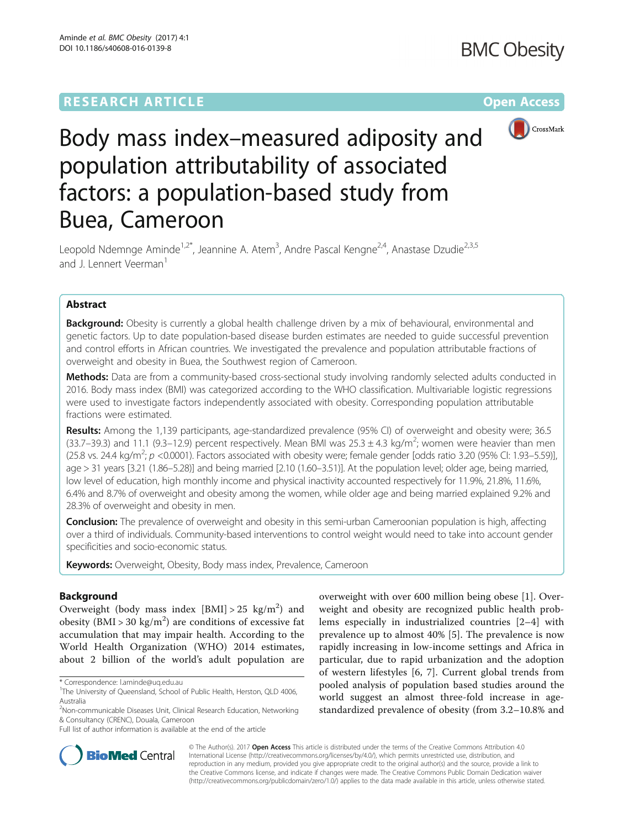

# Body mass index–measured adiposity and population attributability of associated factors: a population-based study from Buea, Cameroon

Leopold Ndemnge Aminde<sup>1,2\*</sup>, Jeannine A. Atem<sup>3</sup>, Andre Pascal Kengne<sup>2,4</sup>, Anastase Dzudie<sup>2,3,5</sup> and J. Lennert Veerman<sup>1</sup>

# Abstract

Background: Obesity is currently a global health challenge driven by a mix of behavioural, environmental and genetic factors. Up to date population-based disease burden estimates are needed to guide successful prevention and control efforts in African countries. We investigated the prevalence and population attributable fractions of overweight and obesity in Buea, the Southwest region of Cameroon.

Methods: Data are from a community-based cross-sectional study involving randomly selected adults conducted in 2016. Body mass index (BMI) was categorized according to the WHO classification. Multivariable logistic regressions were used to investigate factors independently associated with obesity. Corresponding population attributable fractions were estimated.

Results: Among the 1,139 participants, age-standardized prevalence (95% CI) of overweight and obesity were; 36.5 (33.7–39.3) and 11.1 (9.3–12.9) percent respectively. Mean BMI was  $25.3 \pm 4.3$  kg/m<sup>2</sup>; women were heavier than men (25.8 vs. 24.4 kg/m<sup>2</sup>;  $p$  <0.0001). Factors associated with obesity were; female gender [odds ratio 3.20 (95% CI: 1.93–5.59)] age > 31 years [3.21 (1.86–5.28)] and being married [2.10 (1.60–3.51)]. At the population level; older age, being married, low level of education, high monthly income and physical inactivity accounted respectively for 11.9%, 21.8%, 11.6%, 6.4% and 8.7% of overweight and obesity among the women, while older age and being married explained 9.2% and 28.3% of overweight and obesity in men.

**Conclusion:** The prevalence of overweight and obesity in this semi-urban Cameroonian population is high, affecting over a third of individuals. Community-based interventions to control weight would need to take into account gender specificities and socio-economic status.

Keywords: Overweight, Obesity, Body mass index, Prevalence, Cameroon

# Background

Overweight (body mass index  $[BMI] > 25$  kg/m<sup>2</sup>) and obesity (BMI > 30 kg/m<sup>2</sup>) are conditions of excessive fat accumulation that may impair health. According to the World Health Organization (WHO) 2014 estimates, about 2 billion of the world's adult population are

overweight with over 600 million being obese [\[1](#page-9-0)]. Overweight and obesity are recognized public health problems especially in industrialized countries [[2](#page-9-0)–[4\]](#page-9-0) with prevalence up to almost 40% [\[5](#page-9-0)]. The prevalence is now rapidly increasing in low-income settings and Africa in particular, due to rapid urbanization and the adoption of western lifestyles [\[6](#page-9-0), [7](#page-9-0)]. Current global trends from pooled analysis of population based studies around the world suggest an almost three-fold increase in agestandardized prevalence of obesity (from 3.2–10.8% and



© The Author(s). 2017 **Open Access** This article is distributed under the terms of the Creative Commons Attribution 4.0 International License [\(http://creativecommons.org/licenses/by/4.0/](http://creativecommons.org/licenses/by/4.0/)), which permits unrestricted use, distribution, and reproduction in any medium, provided you give appropriate credit to the original author(s) and the source, provide a link to the Creative Commons license, and indicate if changes were made. The Creative Commons Public Domain Dedication waiver [\(http://creativecommons.org/publicdomain/zero/1.0/](http://creativecommons.org/publicdomain/zero/1.0/)) applies to the data made available in this article, unless otherwise stated.

<sup>\*</sup> Correspondence: [l.aminde@uq.edu.au](mailto:l.aminde@uq.edu.au) <sup>1</sup>

<sup>&</sup>lt;sup>1</sup>The University of Queensland, School of Public Health, Herston, QLD 4006, Australia

<sup>&</sup>lt;sup>2</sup>Non-communicable Diseases Unit, Clinical Research Education, Networking & Consultancy (CRENC), Douala, Cameroon

Full list of author information is available at the end of the article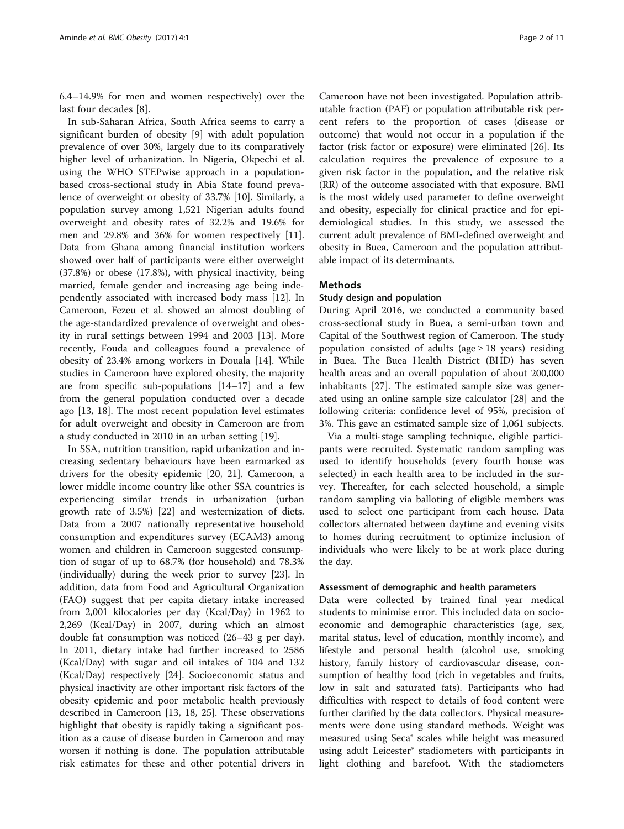6.4–14.9% for men and women respectively) over the last four decades [[8](#page-9-0)].

In sub-Saharan Africa, South Africa seems to carry a significant burden of obesity [[9\]](#page-9-0) with adult population prevalence of over 30%, largely due to its comparatively higher level of urbanization. In Nigeria, Okpechi et al. using the WHO STEPwise approach in a populationbased cross-sectional study in Abia State found prevalence of overweight or obesity of 33.7% [\[10](#page-9-0)]. Similarly, a population survey among 1,521 Nigerian adults found overweight and obesity rates of 32.2% and 19.6% for men and 29.8% and 36% for women respectively [\[11](#page-10-0)]. Data from Ghana among financial institution workers showed over half of participants were either overweight (37.8%) or obese (17.8%), with physical inactivity, being married, female gender and increasing age being independently associated with increased body mass [[12](#page-10-0)]. In Cameroon, Fezeu et al. showed an almost doubling of the age-standardized prevalence of overweight and obesity in rural settings between 1994 and 2003 [\[13\]](#page-10-0). More recently, Fouda and colleagues found a prevalence of obesity of 23.4% among workers in Douala [[14](#page-10-0)]. While studies in Cameroon have explored obesity, the majority are from specific sub-populations [\[14](#page-10-0)–[17\]](#page-10-0) and a few from the general population conducted over a decade ago [\[13](#page-10-0), [18\]](#page-10-0). The most recent population level estimates for adult overweight and obesity in Cameroon are from a study conducted in 2010 in an urban setting [[19\]](#page-10-0).

In SSA, nutrition transition, rapid urbanization and increasing sedentary behaviours have been earmarked as drivers for the obesity epidemic [\[20](#page-10-0), [21\]](#page-10-0). Cameroon, a lower middle income country like other SSA countries is experiencing similar trends in urbanization (urban growth rate of 3.5%) [\[22\]](#page-10-0) and westernization of diets. Data from a 2007 nationally representative household consumption and expenditures survey (ECAM3) among women and children in Cameroon suggested consumption of sugar of up to 68.7% (for household) and 78.3% (individually) during the week prior to survey [[23\]](#page-10-0). In addition, data from Food and Agricultural Organization (FAO) suggest that per capita dietary intake increased from 2,001 kilocalories per day (Kcal/Day) in 1962 to 2,269 (Kcal/Day) in 2007, during which an almost double fat consumption was noticed (26–43 g per day). In 2011, dietary intake had further increased to 2586 (Kcal/Day) with sugar and oil intakes of 104 and 132 (Kcal/Day) respectively [[24](#page-10-0)]. Socioeconomic status and physical inactivity are other important risk factors of the obesity epidemic and poor metabolic health previously described in Cameroon [[13, 18](#page-10-0), [25](#page-10-0)]. These observations highlight that obesity is rapidly taking a significant position as a cause of disease burden in Cameroon and may worsen if nothing is done. The population attributable risk estimates for these and other potential drivers in

Cameroon have not been investigated. Population attributable fraction (PAF) or population attributable risk percent refers to the proportion of cases (disease or outcome) that would not occur in a population if the factor (risk factor or exposure) were eliminated [\[26](#page-10-0)]. Its calculation requires the prevalence of exposure to a given risk factor in the population, and the relative risk (RR) of the outcome associated with that exposure. BMI is the most widely used parameter to define overweight and obesity, especially for clinical practice and for epidemiological studies. In this study, we assessed the current adult prevalence of BMI-defined overweight and obesity in Buea, Cameroon and the population attributable impact of its determinants.

# **Methods**

# Study design and population

During April 2016, we conducted a community based cross-sectional study in Buea, a semi-urban town and Capital of the Southwest region of Cameroon. The study population consisted of adults (age  $\geq$  18 years) residing in Buea. The Buea Health District (BHD) has seven health areas and an overall population of about 200,000 inhabitants [[27](#page-10-0)]. The estimated sample size was generated using an online sample size calculator [[28](#page-10-0)] and the following criteria: confidence level of 95%, precision of 3%. This gave an estimated sample size of 1,061 subjects.

Via a multi-stage sampling technique, eligible participants were recruited. Systematic random sampling was used to identify households (every fourth house was selected) in each health area to be included in the survey. Thereafter, for each selected household, a simple random sampling via balloting of eligible members was used to select one participant from each house. Data collectors alternated between daytime and evening visits to homes during recruitment to optimize inclusion of individuals who were likely to be at work place during the day.

# Assessment of demographic and health parameters

Data were collected by trained final year medical students to minimise error. This included data on socioeconomic and demographic characteristics (age, sex, marital status, level of education, monthly income), and lifestyle and personal health (alcohol use, smoking history, family history of cardiovascular disease, consumption of healthy food (rich in vegetables and fruits, low in salt and saturated fats). Participants who had difficulties with respect to details of food content were further clarified by the data collectors. Physical measurements were done using standard methods. Weight was measured using Seca® scales while height was measured using adult Leicester® stadiometers with participants in light clothing and barefoot. With the stadiometers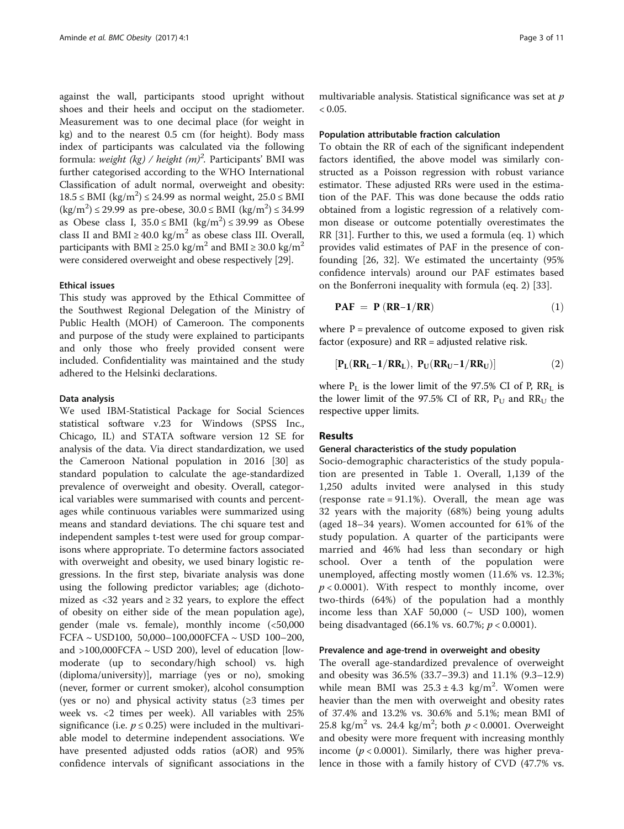against the wall, participants stood upright without shoes and their heels and occiput on the stadiometer. Measurement was to one decimal place (for weight in kg) and to the nearest 0.5 cm (for height). Body mass index of participants was calculated via the following formula: *weight (kg) / height (m)<sup>2</sup>.* Participants' BMI was<br>further categorised according to the WHO International further categorised according to the WHO International Classification of adult normal, overweight and obesity:  $18.5 \leq BMI$  (kg/m<sup>2</sup>) ≤ 24.99 as normal weight, 25.0 ≤ BMI  $(kg/m^2) \le 29.99$  as pre-obese,  $30.0 \le BMI$   $(kg/m^2) \le 34.99$ as Obese class I,  $35.0 \leq BMI$  (kg/m<sup>2</sup>)  $\leq 39.99$  as Obese class II and BMI  $\geq 40.0 \text{ kg/m}^2$  as obese class III. Overall, participants with BMI  $\geq$  25.0 kg/m<sup>2</sup> and BMI  $\geq$  30.0 kg/m<sup>2</sup> were considered overweight and obese respectively [\[29](#page-10-0)].

# Ethical issues

This study was approved by the Ethical Committee of the Southwest Regional Delegation of the Ministry of Public Health (MOH) of Cameroon. The components and purpose of the study were explained to participants and only those who freely provided consent were included. Confidentiality was maintained and the study adhered to the Helsinki declarations.

# Data analysis

We used IBM-Statistical Package for Social Sciences statistical software v.23 for Windows (SPSS Inc., Chicago, IL) and STATA software version 12 SE for analysis of the data. Via direct standardization, we used the Cameroon National population in 2016 [[30](#page-10-0)] as standard population to calculate the age-standardized prevalence of overweight and obesity. Overall, categorical variables were summarised with counts and percentages while continuous variables were summarized using means and standard deviations. The chi square test and independent samples t-test were used for group comparisons where appropriate. To determine factors associated with overweight and obesity, we used binary logistic regressions. In the first step, bivariate analysis was done using the following predictor variables; age (dichotomized as <32 years and  $\ge$  32 years, to explore the effect of obesity on either side of the mean population age), gender (male vs. female), monthly income (<50,000 FCFA ~ USD100, 50,000–100,000FCFA ~ USD 100–200, and  $>100,000F$ CFA  $\sim$  USD 200), level of education [lowmoderate (up to secondary/high school) vs. high (diploma/university)], marriage (yes or no), smoking (never, former or current smoker), alcohol consumption (yes or no) and physical activity status (≥3 times per week vs. <2 times per week). All variables with 25% significance (i.e.  $p \le 0.25$ ) were included in the multivariable model to determine independent associations. We have presented adjusted odds ratios (aOR) and 95% confidence intervals of significant associations in the multivariable analysis. Statistical significance was set at  $p$  $< 0.05.$ 

# Population attributable fraction calculation

To obtain the RR of each of the significant independent factors identified, the above model was similarly constructed as a Poisson regression with robust variance estimator. These adjusted RRs were used in the estimation of the PAF. This was done because the odds ratio obtained from a logistic regression of a relatively common disease or outcome potentially overestimates the RR [[31\]](#page-10-0). Further to this, we used a formula (eq. 1) which provides valid estimates of PAF in the presence of confounding [\[26](#page-10-0), [32](#page-10-0)]. We estimated the uncertainty (95% confidence intervals) around our PAF estimates based on the Bonferroni inequality with formula (eq. 2) [[33\]](#page-10-0).

$$
PAF = P (RR-1/RR)
$$
 (1)

where  $P =$  prevalence of outcome exposed to given risk factor (exposure) and RR = adjusted relative risk.

$$
\left[P_L(RR_L\hspace{-0.09cm}-\hspace{-0.09cm}1/RR_L),\ P_U(RR_U\hspace{-0.09cm}-\hspace{-0.09cm}1/RR_U)\right] \hspace{2cm} (2)
$$

where  $P_L$  is the lower limit of the 97.5% CI of P,  $RR_L$  is the lower limit of the 97.5% CI of RR,  $P_U$  and RR<sub>U</sub> the respective upper limits.

# Results

# General characteristics of the study population

Socio-demographic characteristics of the study population are presented in Table [1](#page-3-0). Overall, 1,139 of the 1,250 adults invited were analysed in this study (response rate =  $91.1\%$ ). Overall, the mean age was 32 years with the majority (68%) being young adults (aged 18–34 years). Women accounted for 61% of the study population. A quarter of the participants were married and 46% had less than secondary or high school. Over a tenth of the population were unemployed, affecting mostly women (11.6% vs. 12.3%;  $p < 0.0001$ ). With respect to monthly income, over two-thirds (64%) of the population had a monthly income less than XAF 50,000 ( $\sim$  USD 100), women being disadvantaged (66.1% vs. 60.7%;  $p < 0.0001$ ).

# Prevalence and age-trend in overweight and obesity

The overall age-standardized prevalence of overweight and obesity was 36.5% (33.7–39.3) and 11.1% (9.3–12.9) while mean BMI was  $25.3 \pm 4.3$  kg/m<sup>2</sup>. Women were heavier than the men with overweight and obesity rates of 37.4% and 13.2% vs. 30.6% and 5.1%; mean BMI of 25.8 kg/m<sup>2</sup> vs. 24.4 kg/m<sup>2</sup>; both  $p < 0.0001$ . Overweight and obesity were more frequent with increasing monthly income ( $p < 0.0001$ ). Similarly, there was higher prevalence in those with a family history of CVD (47.7% vs.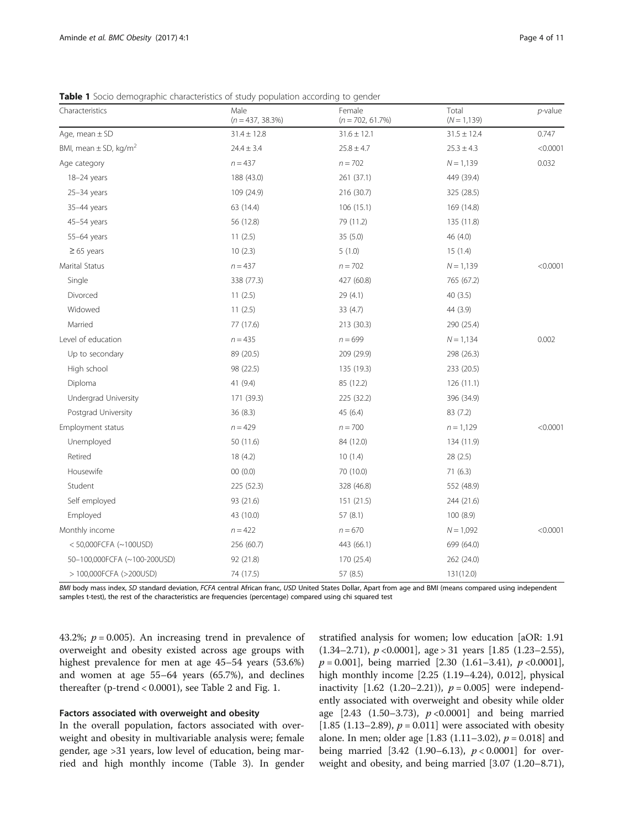<span id="page-3-0"></span>Table 1 Socio demographic characteristics of study population according to gender

| Characteristics                       | Male<br>$(n = 437, 38.3\%)$ | Female<br>$(n = 702, 61.7%)$ | Total<br>$(N = 1, 139)$ | p-value  |
|---------------------------------------|-----------------------------|------------------------------|-------------------------|----------|
| Age, mean $\pm$ SD                    | $31.4 \pm 12.8$             | $31.6 \pm 12.1$              | $31.5 \pm 12.4$         | 0.747    |
| BMI, mean $\pm$ SD, kg/m <sup>2</sup> | $24.4 \pm 3.4$              | $25.8 \pm 4.7$               | $25.3 \pm 4.3$          | < 0.0001 |
| Age category                          | $n = 437$                   | $n = 702$                    | $N = 1,139$             | 0.032    |
| $18-24$ years                         | 188 (43.0)                  | 261 (37.1)                   | 449 (39.4)              |          |
| $25-34$ years                         | 109 (24.9)                  | 216 (30.7)                   | 325 (28.5)              |          |
| 35-44 years                           | 63 (14.4)                   | 106 (15.1)                   | 169 (14.8)              |          |
| 45-54 years                           | 56 (12.8)                   | 79 (11.2)                    | 135 (11.8)              |          |
| 55-64 years                           | 11(2.5)                     | 35(5.0)                      | 46 (4.0)                |          |
| $\geq 65$ years                       | 10(2.3)                     | 5(1.0)                       | 15(1.4)                 |          |
| Marital Status                        | $n = 437$                   | $n = 702$                    | $N = 1,139$             | < 0.0001 |
| Single                                | 338 (77.3)                  | 427 (60.8)                   | 765 (67.2)              |          |
| Divorced                              | 11(2.5)                     | 29 (4.1)                     | 40 (3.5)                |          |
| Widowed                               | 11(2.5)                     | 33 (4.7)                     | 44 (3.9)                |          |
| Married                               | 77 (17.6)                   | 213 (30.3)                   | 290 (25.4)              |          |
| Level of education                    | $n = 435$                   | $n = 699$                    | $N = 1,134$             | 0.002    |
| Up to secondary                       | 89 (20.5)                   | 209 (29.9)                   | 298 (26.3)              |          |
| High school                           | 98 (22.5)                   | 135 (19.3)                   | 233 (20.5)              |          |
| Diploma                               | 41 (9.4)                    | 85 (12.2)                    | 126(11.1)               |          |
| Undergrad University                  | 171 (39.3)                  | 225 (32.2)                   | 396 (34.9)              |          |
| Postgrad University                   | 36(8.3)                     | 45 (6.4)                     | 83 (7.2)                |          |
| Employment status                     | $n = 429$                   | $n = 700$                    | $n = 1,129$             | < 0.0001 |
| Unemployed                            | 50 (11.6)                   | 84 (12.0)                    | 134 (11.9)              |          |
| Retired                               | 18 (4.2)                    | 10(1.4)                      | 28 (2.5)                |          |
| Housewife                             | 00(0.0)                     | 70 (10.0)                    | 71(6.3)                 |          |
| Student                               | 225 (52.3)                  | 328 (46.8)                   | 552 (48.9)              |          |
| Self employed                         | 93 (21.6)                   | 151 (21.5)                   | 244 (21.6)              |          |
| Employed                              | 43 (10.0)                   | 57 (8.1)                     | 100 (8.9)               |          |
| Monthly income                        | $n = 422$                   | $n = 670$                    | $N = 1,092$             | < 0.0001 |
| <50,000FCFA (~100USD)                 | 256 (60.7)                  | 443 (66.1)                   | 699 (64.0)              |          |
| 50-100,000FCFA (~100-200USD)          | 92 (21.8)                   | 170 (25.4)                   | 262 (24.0)              |          |
| > 100,000FCFA (>200USD)               | 74 (17.5)                   | 57 (8.5)                     | 131(12.0)               |          |

BMI body mass index, SD standard deviation, FCFA central African franc, USD United States Dollar, Apart from age and BMI (means compared using independent samples t-test), the rest of the characteristics are frequencies (percentage) compared using chi squared test

43.2%;  $p = 0.005$ ). An increasing trend in prevalence of overweight and obesity existed across age groups with highest prevalence for men at age 45–54 years (53.6%) and women at age 55–64 years (65.7%), and declines thereafter (p-trend < 0.0001), see Table [2](#page-4-0) and Fig. [1](#page-5-0).

# Factors associated with overweight and obesity

In the overall population, factors associated with overweight and obesity in multivariable analysis were; female gender, age >31 years, low level of education, being married and high monthly income (Table [3\)](#page-6-0). In gender stratified analysis for women; low education [aOR: 1.91  $(1.34-2.71)$ ,  $p < 0.0001$ ], age > 31 years  $[1.85 (1.23-2.55)$ ,  $p = 0.001$ ], being married [2.30 (1.61–3.41),  $p < 0.0001$ ], high monthly income [2.25 (1.19–4.24), 0.012], physical inactivity  $[1.62 (1.20–2.21)), p = 0.005]$  were independently associated with overweight and obesity while older age  $[2.43 \ (1.50-3.73), \ p < 0.0001]$  and being married [1.85 (1.13–2.89),  $p = 0.011$ ] were associated with obesity alone. In men; older age [1.83 (1.11–3.02),  $p = 0.018$ ] and being married [3.42 (1.90–6.13),  $p < 0.0001$ ] for overweight and obesity, and being married [3.07 (1.20–8.71),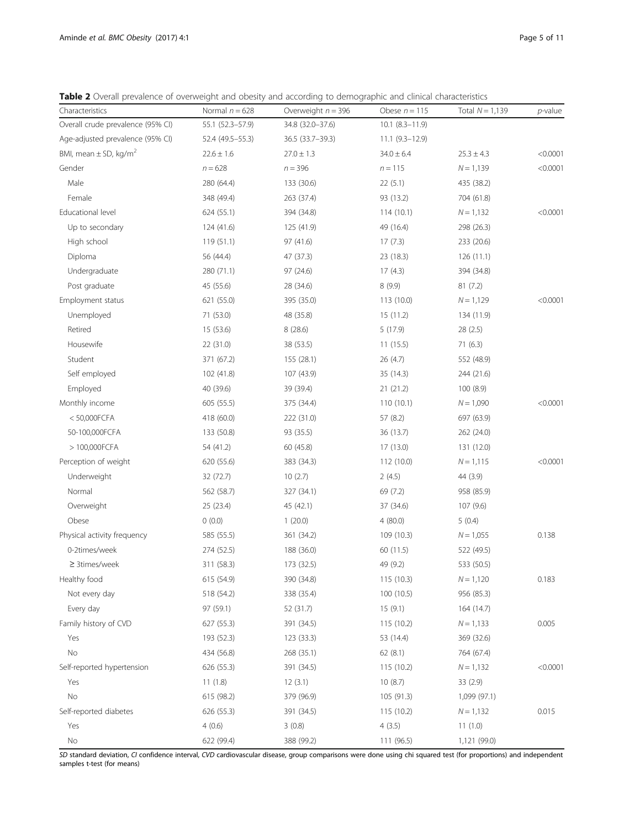<span id="page-4-0"></span>Table 2 Overall prevalence of overweight and obesity and according to demographic and clinical characteristics

| Characteristics                       | Normal $n = 628$ | Overweight $n = 396$ | Obese $n = 115$     | Total $N = 1,139$ | $p$ -value |
|---------------------------------------|------------------|----------------------|---------------------|-------------------|------------|
| Overall crude prevalence (95% CI)     | 55.1 (52.3-57.9) | 34.8 (32.0-37.6)     | $10.1 (8.3 - 11.9)$ |                   |            |
| Age-adjusted prevalence (95% CI)      | 52.4 (49.5–55.3) | 36.5 (33.7–39.3)     | $11.1(9.3-12.9)$    |                   |            |
| BMI, mean $\pm$ SD, kg/m <sup>2</sup> | $22.6 \pm 1.6$   | $27.0 \pm 1.3$       | $34.0 \pm 6.4$      | $25.3 \pm 4.3$    | < 0.0001   |
| Gender                                | $n = 628$        | $n = 396$            | $n = 115$           | $N = 1,139$       | < 0.0001   |
| Male                                  | 280 (64.4)       | 133 (30.6)           | 22(5.1)             | 435 (38.2)        |            |
| Female                                | 348 (49.4)       | 263 (37.4)           | 93 (13.2)           | 704 (61.8)        |            |
| Educational level                     | 624 (55.1)       | 394 (34.8)           | 114(10.1)           | $N = 1,132$       | < 0.0001   |
| Up to secondary                       | 124 (41.6)       | 125 (41.9)           | 49 (16.4)           | 298 (26.3)        |            |
| High school                           | 119(51.1)        | 97 (41.6)            | 17(7.3)             | 233 (20.6)        |            |
| Diploma                               | 56 (44.4)        | 47 (37.3)            | 23 (18.3)           | 126(11.1)         |            |
| Undergraduate                         | 280 (71.1)       | 97 (24.6)            | 17(4.3)             | 394 (34.8)        |            |
| Post graduate                         | 45 (55.6)        | 28 (34.6)            | 8 (9.9)             | 81(7.2)           |            |
| Employment status                     | 621 (55.0)       | 395 (35.0)           | 113 (10.0)          | $N = 1,129$       | < 0.0001   |
| Unemployed                            | 71 (53.0)        | 48 (35.8)            | 15 (11.2)           | 134 (11.9)        |            |
| Retired                               | 15 (53.6)        | 8(28.6)              | 5(17.9)             | 28(2.5)           |            |
| Housewife                             | 22 (31.0)        | 38 (53.5)            | 11(15.5)            | 71(6.3)           |            |
| Student                               | 371 (67.2)       | 155 (28.1)           | 26(4.7)             | 552 (48.9)        |            |
| Self employed                         | 102 (41.8)       | 107 (43.9)           | 35 (14.3)           | 244 (21.6)        |            |
| Employed                              | 40 (39.6)        | 39 (39.4)            | 21 (21.2)           | 100 (8.9)         |            |
| Monthly income                        | 605 (55.5)       | 375 (34.4)           | 110(10.1)           | $N = 1,090$       | < 0.0001   |
| $< 50,000$ FCFA                       | 418 (60.0)       | 222 (31.0)           | 57 (8.2)            | 697 (63.9)        |            |
| 50-100,000FCFA                        | 133 (50.8)       | 93 (35.5)            | 36 (13.7)           | 262 (24.0)        |            |
| > 100,000FCFA                         | 54 (41.2)        | 60 (45.8)            | 17 (13.0)           | 131 (12.0)        |            |
| Perception of weight                  | 620 (55.6)       | 383 (34.3)           | 112 (10.0)          | $N = 1,115$       | < 0.0001   |
| Underweight                           | 32 (72.7)        | 10(2.7)              | 2(4.5)              | 44 (3.9)          |            |
| Normal                                | 562 (58.7)       | 327 (34.1)           | 69 (7.2)            | 958 (85.9)        |            |
| Overweight                            | 25 (23.4)        | 45 (42.1)            | 37 (34.6)           | 107(9.6)          |            |
| Obese                                 | 0(0.0)           | 1(20.0)              | 4(80.0)             | 5(0.4)            |            |
| Physical activity frequency           | 585 (55.5)       | 361 (34.2)           | 109 (10.3)          | $N = 1,055$       | 0.138      |
| 0-2times/week                         | 274 (52.5)       | 188 (36.0)           | 60 (11.5)           | 522 (49.5)        |            |
| $\geq$ 3times/week                    | 311 (58.3)       | 173 (32.5)           | 49 (9.2)            | 533 (50.5)        |            |
| Healthy food                          | 615 (54.9)       | 390 (34.8)           | 115 (10.3)          | $N = 1,120$       | 0.183      |
| Not every day                         | 518 (54.2)       | 338 (35.4)           | 100 (10.5)          | 956 (85.3)        |            |
| Every day                             | 97 (59.1)        | 52 (31.7)            | 15(9.1)             | 164 (14.7)        |            |
| Family history of CVD                 | 627 (55.3)       | 391 (34.5)           | 115 (10.2)          | $N = 1,133$       | 0.005      |
| Yes                                   | 193 (52.3)       | 123 (33.3)           | 53 (14.4)           | 369 (32.6)        |            |
| No                                    | 434 (56.8)       | 268 (35.1)           | 62(8.1)             | 764 (67.4)        |            |
| Self-reported hypertension            | 626 (55.3)       | 391 (34.5)           | 115 (10.2)          | $N = 1,132$       | < 0.0001   |
| Yes                                   | 11(1.8)          | 12(3.1)              | 10(8.7)             | 33 (2.9)          |            |
| No                                    | 615 (98.2)       | 379 (96.9)           | 105 (91.3)          | 1,099 (97.1)      |            |
| Self-reported diabetes                | 626 (55.3)       | 391 (34.5)           | 115 (10.2)          | $N = 1,132$       | 0.015      |
| Yes                                   | 4(0.6)           | 3(0.8)               | 4(3.5)              | 11(1.0)           |            |
| No                                    | 622 (99.4)       | 388 (99.2)           | 111 (96.5)          | 1,121 (99.0)      |            |

SD standard deviation, CI confidence interval, CVD cardiovascular disease, group comparisons were done using chi squared test (for proportions) and independent samples t-test (for means)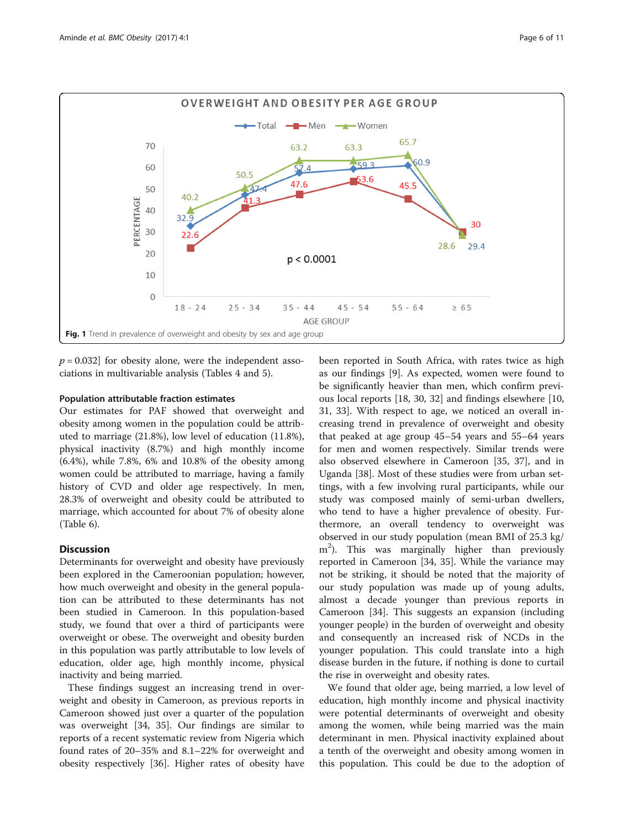<span id="page-5-0"></span>

 $p = 0.032$  for obesity alone, were the independent associations in multivariable analysis (Tables [4](#page-7-0) and [5](#page-8-0)).

# Population attributable fraction estimates

Our estimates for PAF showed that overweight and obesity among women in the population could be attributed to marriage (21.8%), low level of education (11.8%), physical inactivity (8.7%) and high monthly income (6.4%), while 7.8%, 6% and 10.8% of the obesity among women could be attributed to marriage, having a family history of CVD and older age respectively. In men, 28.3% of overweight and obesity could be attributed to marriage, which accounted for about 7% of obesity alone (Table [6\)](#page-9-0).

# **Discussion**

Determinants for overweight and obesity have previously been explored in the Cameroonian population; however, how much overweight and obesity in the general population can be attributed to these determinants has not been studied in Cameroon. In this population-based study, we found that over a third of participants were overweight or obese. The overweight and obesity burden in this population was partly attributable to low levels of education, older age, high monthly income, physical inactivity and being married.

These findings suggest an increasing trend in overweight and obesity in Cameroon, as previous reports in Cameroon showed just over a quarter of the population was overweight [\[34](#page-10-0), [35\]](#page-10-0). Our findings are similar to reports of a recent systematic review from Nigeria which found rates of 20–35% and 8.1–22% for overweight and obesity respectively [\[36](#page-10-0)]. Higher rates of obesity have

been reported in South Africa, with rates twice as high as our findings [\[9](#page-9-0)]. As expected, women were found to be significantly heavier than men, which confirm previous local reports [[18, 30, 32](#page-10-0)] and findings elsewhere [[10](#page-9-0), [31, 33\]](#page-10-0). With respect to age, we noticed an overall increasing trend in prevalence of overweight and obesity that peaked at age group 45–54 years and 55–64 years for men and women respectively. Similar trends were also observed elsewhere in Cameroon [\[35](#page-10-0), [37\]](#page-10-0), and in Uganda [\[38\]](#page-10-0). Most of these studies were from urban settings, with a few involving rural participants, while our study was composed mainly of semi-urban dwellers, who tend to have a higher prevalence of obesity. Furthermore, an overall tendency to overweight was observed in our study population (mean BMI of 25.3 kg/ m<sup>2</sup>). This was marginally higher than previously reported in Cameroon [[34](#page-10-0), [35](#page-10-0)]. While the variance may not be striking, it should be noted that the majority of our study population was made up of young adults, almost a decade younger than previous reports in Cameroon [[34](#page-10-0)]. This suggests an expansion (including younger people) in the burden of overweight and obesity and consequently an increased risk of NCDs in the younger population. This could translate into a high disease burden in the future, if nothing is done to curtail the rise in overweight and obesity rates.

We found that older age, being married, a low level of education, high monthly income and physical inactivity were potential determinants of overweight and obesity among the women, while being married was the main determinant in men. Physical inactivity explained about a tenth of the overweight and obesity among women in this population. This could be due to the adoption of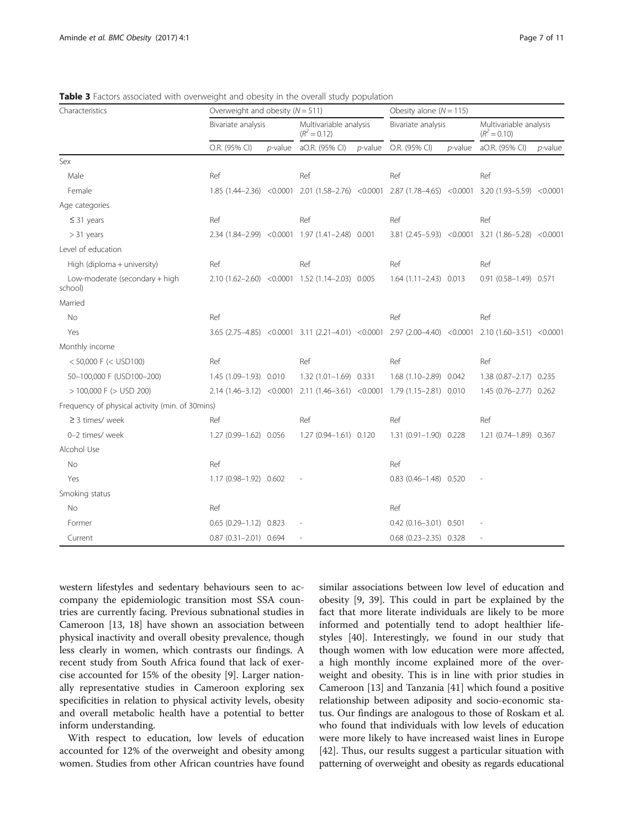<span id="page-6-0"></span>Table 3 Factors associated with overweight and obesity in the overall study population

| Characteristics                                 |                              | Overweight and obesity ( $N = 511$ ) |                                                                          | Obesity alone ( $N = 115$ )              |                              |                    |                                                                                                         |                                          |  |
|-------------------------------------------------|------------------------------|--------------------------------------|--------------------------------------------------------------------------|------------------------------------------|------------------------------|--------------------|---------------------------------------------------------------------------------------------------------|------------------------------------------|--|
|                                                 |                              | Bivariate analysis                   |                                                                          | Multivariable analysis<br>$(R^2 = 0.12)$ |                              | Bivariate analysis |                                                                                                         | Multivariable analysis<br>$(R^2 = 0.10)$ |  |
|                                                 | O.R. (95% CI)                | $p$ -value                           | aO.R. (95% CI)                                                           | $p$ -value                               | O.R. (95% CI)                | $p$ -value         | aO.R. (95% CI)                                                                                          | $p$ -value                               |  |
| Sex                                             |                              |                                      |                                                                          |                                          |                              |                    |                                                                                                         |                                          |  |
| Male                                            | Ref                          |                                      | Ref                                                                      |                                          | Ref                          |                    | Ref                                                                                                     |                                          |  |
| Female                                          |                              |                                      |                                                                          |                                          |                              |                    | 1.85 (1.44-2.36) < 0.0001 2.01 (1.58-2.76) < 0.0001 2.87 (1.78-4.65) < 0.0001 3.20 (1.93-5.59) < 0.0001 |                                          |  |
| Age categories                                  |                              |                                      |                                                                          |                                          |                              |                    |                                                                                                         |                                          |  |
| $\leq$ 31 years                                 | Ref                          |                                      | Ref                                                                      |                                          | Ref                          |                    | Ref                                                                                                     |                                          |  |
| $> 31$ years                                    |                              |                                      | 2.34 (1.84-2.99) < 0.0001 1.97 (1.41-2.48) 0.001                         |                                          |                              |                    | 3.81 (2.45-5.93) < 0.0001 3.21 (1.86-5.28) < 0.0001                                                     |                                          |  |
| Level of education                              |                              |                                      |                                                                          |                                          |                              |                    |                                                                                                         |                                          |  |
| High (diploma + university)                     | Ref                          |                                      | Ref                                                                      |                                          | Ref                          |                    | Ref                                                                                                     |                                          |  |
| Low-moderate (secondary + high<br>school)       |                              |                                      | 2.10 (1.62-2.60) < 0.0001 1.52 (1.14-2.03) 0.005                         |                                          | $1.64$ $(1.11 - 2.43)$ 0.013 |                    | 0.91 (0.58-1.49) 0.571                                                                                  |                                          |  |
| Married                                         |                              |                                      |                                                                          |                                          |                              |                    |                                                                                                         |                                          |  |
| No                                              | Ref                          |                                      |                                                                          |                                          | Ref                          |                    | Ref                                                                                                     |                                          |  |
| Yes                                             |                              |                                      |                                                                          |                                          |                              |                    | 3.65 (2.75-4.85) < 0.0001 3.11 (2.21-4.01) < 0.0001 2.97 (2.00-4.40) < 0.0001 2.10 (1.60-3.51) < 0.0001 |                                          |  |
| Monthly income                                  |                              |                                      |                                                                          |                                          |                              |                    |                                                                                                         |                                          |  |
| $<$ 50,000 F ( $<$ USD100)                      | Ref                          |                                      | Ref                                                                      |                                          | Ref                          |                    | Ref                                                                                                     |                                          |  |
| 50-100,000 F (USD100-200)                       | 1.45 (1.09-1.93) 0.010       |                                      | $1.32(1.01 - 1.69)$ 0.331                                                |                                          | 1.68 (1.10-2.89) 0.042       |                    | 1.38 (0.87-2.17) 0.235                                                                                  |                                          |  |
| $>$ 100,000 F ( $>$ USD 200)                    |                              |                                      | 2.14 (1.46-3.12) <0.0001 2.11 (1.46-3.61) <0.0001 1.79 (1.15-2.81) 0.010 |                                          |                              |                    | 1.45 (0.76-2.77) 0.262                                                                                  |                                          |  |
| Frequency of physical activity (min. of 30mins) |                              |                                      |                                                                          |                                          |                              |                    |                                                                                                         |                                          |  |
| $\geq$ 3 times/week                             | Ref                          |                                      | Ref                                                                      |                                          | Ref                          |                    | Ref                                                                                                     |                                          |  |
| 0-2 times/ week                                 | 1.27 (0.99-1.62) 0.056       |                                      | 1.27 (0.94-1.61) 0.120                                                   |                                          | 1.31 (0.91-1.90) 0.228       |                    | 1.21 (0.74-1.89) 0.367                                                                                  |                                          |  |
| Alcohol Use                                     |                              |                                      |                                                                          |                                          |                              |                    |                                                                                                         |                                          |  |
| No                                              | Ref                          |                                      |                                                                          |                                          | Ref                          |                    |                                                                                                         |                                          |  |
| Yes                                             | 1.17 (0.98-1.92) 0.602       |                                      |                                                                          |                                          | $0.83$ $(0.46 - 1.48)$ 0.520 |                    |                                                                                                         |                                          |  |
| Smoking status                                  |                              |                                      |                                                                          |                                          |                              |                    |                                                                                                         |                                          |  |
| <b>No</b>                                       | Ref                          |                                      |                                                                          |                                          | Ref                          |                    |                                                                                                         |                                          |  |
| Former                                          | $0.65(0.29 - 1.12)0.823$     |                                      |                                                                          |                                          | $0.42$ (0.16-3.01) 0.501     |                    |                                                                                                         |                                          |  |
| Current                                         | $0.87$ $(0.31 - 2.01)$ 0.694 |                                      |                                                                          |                                          | $0.68$ $(0.23 - 2.35)$ 0.328 |                    |                                                                                                         |                                          |  |

western lifestyles and sedentary behaviours seen to accompany the epidemiologic transition most SSA countries are currently facing. Previous subnational studies in Cameroon [\[13, 18\]](#page-10-0) have shown an association between physical inactivity and overall obesity prevalence, though less clearly in women, which contrasts our findings. A recent study from South Africa found that lack of exercise accounted for 15% of the obesity [[9](#page-9-0)]. Larger nationally representative studies in Cameroon exploring sex specificities in relation to physical activity levels, obesity and overall metabolic health have a potential to better inform understanding.

With respect to education, low levels of education accounted for 12% of the overweight and obesity among women. Studies from other African countries have found similar associations between low level of education and obesity [[9,](#page-9-0) [39](#page-10-0)]. This could in part be explained by the fact that more literate individuals are likely to be more informed and potentially tend to adopt healthier lifestyles [[40](#page-10-0)]. Interestingly, we found in our study that though women with low education were more affected, a high monthly income explained more of the overweight and obesity. This is in line with prior studies in Cameroon [[13\]](#page-10-0) and Tanzania [\[41\]](#page-10-0) which found a positive relationship between adiposity and socio-economic status. Our findings are analogous to those of Roskam et al. who found that individuals with low levels of education were more likely to have increased waist lines in Europe [[42\]](#page-10-0). Thus, our results suggest a particular situation with patterning of overweight and obesity as regards educational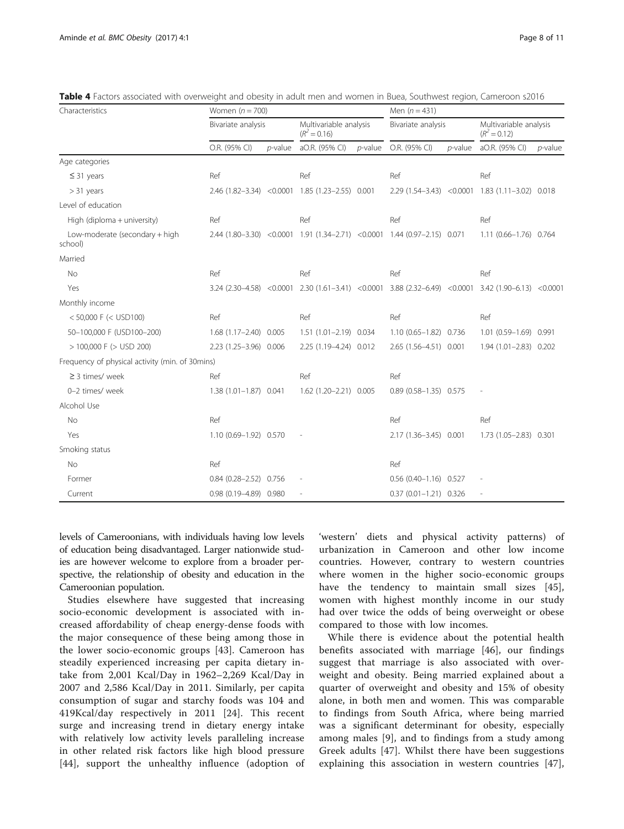<span id="page-7-0"></span>Table 4 Factors associated with overweight and obesity in adult men and women in Buea, Southwest region, Cameroon s2016

| Characteristics                                 |                              | Women $(n = 700)$ |                                                  |            | Men $(n = 431)$                                                                                     |            |                                                  |            |
|-------------------------------------------------|------------------------------|-------------------|--------------------------------------------------|------------|-----------------------------------------------------------------------------------------------------|------------|--------------------------------------------------|------------|
|                                                 | Bivariate analysis           |                   | Multivariable analysis<br>$(R^2 = 0.16)$         |            | Bivariate analysis                                                                                  |            | Multivariable analysis<br>$(R^2 = 0.12)$         |            |
|                                                 | O.R. (95% CI)                | $p$ -value        | aO.R. (95% CI)                                   | $p$ -value | O.R. (95% CI)                                                                                       | $p$ -value | aO.R. (95% CI)                                   | $p$ -value |
| Age categories                                  |                              |                   |                                                  |            |                                                                                                     |            |                                                  |            |
| $\leq$ 31 years                                 | Ref                          |                   | Ref                                              |            | Ref                                                                                                 |            | Ref                                              |            |
| $>$ 31 years                                    |                              |                   | 2.46 (1.82-3.34) < 0.0001 1.85 (1.23-2.55) 0.001 |            |                                                                                                     |            | 2.29 (1.54-3.43) < 0.0001 1.83 (1.11-3.02) 0.018 |            |
| Level of education                              |                              |                   |                                                  |            |                                                                                                     |            |                                                  |            |
| High (diploma + university)                     | Ref                          |                   | Ref                                              |            | Ref                                                                                                 |            | Ref                                              |            |
| Low-moderate (secondary + high<br>school)       |                              |                   |                                                  |            | 2.44 (1.80-3.30) <0.0001 1.91 (1.34-2.71) <0.0001 1.44 (0.97-2.15) 0.071                            |            | 1.11 (0.66-1.76) 0.764                           |            |
| Married                                         |                              |                   |                                                  |            |                                                                                                     |            |                                                  |            |
| No                                              | Ref                          |                   | Ref                                              |            | Ref                                                                                                 |            | Ref                                              |            |
| Yes                                             |                              |                   |                                                  |            | 3.24 (2.30-4.58) <0.0001 2.30 (1.61-3.41) <0.0001 3.88 (2.32-6.49) <0.0001 3.42 (1.90-6.13) <0.0001 |            |                                                  |            |
| Monthly income                                  |                              |                   |                                                  |            |                                                                                                     |            |                                                  |            |
| $<$ 50,000 F ( $<$ USD100)                      | Ref                          |                   | Ref                                              |            | Ref                                                                                                 |            | Ref                                              |            |
| 50-100,000 F (USD100-200)                       | 1.68 (1.17-2.40) 0.005       |                   | 1.51 (1.01-2.19) 0.034                           |            | 1.10 (0.65-1.82) 0.736                                                                              |            | 1.01 (0.59-1.69) 0.991                           |            |
| $> 100,000$ F ( $>$ USD 200)                    | 2.23 (1.25-3.96) 0.006       |                   | 2.25 (1.19-4.24) 0.012                           |            | 2.65 (1.56-4.51) 0.001                                                                              |            | 1.94 (1.01-2.83) 0.202                           |            |
| Frequency of physical activity (min. of 30mins) |                              |                   |                                                  |            |                                                                                                     |            |                                                  |            |
| $\geq$ 3 times/ week                            | Ref                          |                   | Ref                                              |            | Ref                                                                                                 |            |                                                  |            |
| 0-2 times/ week                                 | 1.38 (1.01-1.87) 0.041       |                   | 1.62 (1.20-2.21) 0.005                           |            | $0.89$ $(0.58 - 1.35)$ $0.575$                                                                      |            |                                                  |            |
| Alcohol Use                                     |                              |                   |                                                  |            |                                                                                                     |            |                                                  |            |
| <b>No</b>                                       | Ref                          |                   |                                                  |            | Ref                                                                                                 |            | Ref                                              |            |
| Yes                                             | 1.10 (0.69-1.92) 0.570       |                   |                                                  |            | 2.17 (1.36-3.45) 0.001                                                                              |            | 1.73 (1.05-2.83) 0.301                           |            |
| Smoking status                                  |                              |                   |                                                  |            |                                                                                                     |            |                                                  |            |
| No                                              | Ref                          |                   |                                                  |            | Ref                                                                                                 |            |                                                  |            |
| Former                                          | $0.84$ $(0.28 - 2.52)$ 0.756 |                   |                                                  |            | $0.56$ (0.40-1.16) $0.527$                                                                          |            |                                                  |            |
| Current                                         | 0.98 (0.19-4.89) 0.980       |                   |                                                  |            | $0.37(0.01 - 1.21)$ 0.326                                                                           |            |                                                  |            |

levels of Cameroonians, with individuals having low levels of education being disadvantaged. Larger nationwide studies are however welcome to explore from a broader perspective, the relationship of obesity and education in the Cameroonian population.

Studies elsewhere have suggested that increasing socio-economic development is associated with increased affordability of cheap energy-dense foods with the major consequence of these being among those in the lower socio-economic groups [\[43](#page-10-0)]. Cameroon has steadily experienced increasing per capita dietary intake from 2,001 Kcal/Day in 1962–2,269 Kcal/Day in 2007 and 2,586 Kcal/Day in 2011. Similarly, per capita consumption of sugar and starchy foods was 104 and 419Kcal/day respectively in 2011 [\[24](#page-10-0)]. This recent surge and increasing trend in dietary energy intake with relatively low activity levels paralleling increase in other related risk factors like high blood pressure [[44\]](#page-10-0), support the unhealthy influence (adoption of

'western' diets and physical activity patterns) of urbanization in Cameroon and other low income countries. However, contrary to western countries where women in the higher socio-economic groups have the tendency to maintain small sizes [\[45](#page-10-0)], women with highest monthly income in our study had over twice the odds of being overweight or obese compared to those with low incomes.

While there is evidence about the potential health benefits associated with marriage [[46\]](#page-10-0), our findings suggest that marriage is also associated with overweight and obesity. Being married explained about a quarter of overweight and obesity and 15% of obesity alone, in both men and women. This was comparable to findings from South Africa, where being married was a significant determinant for obesity, especially among males [[9\]](#page-9-0), and to findings from a study among Greek adults [[47\]](#page-10-0). Whilst there have been suggestions explaining this association in western countries [\[47](#page-10-0)],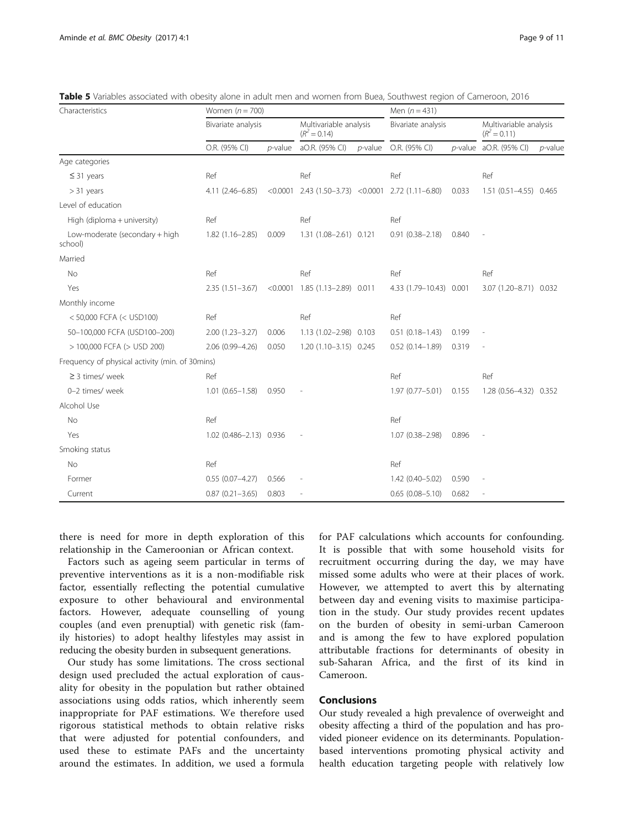<span id="page-8-0"></span>

| Table 5 Variables associated with obesity alone in adult men and women from Buea, Southwest region of Cameroon, 2016 |  |  |  |
|----------------------------------------------------------------------------------------------------------------------|--|--|--|
|----------------------------------------------------------------------------------------------------------------------|--|--|--|

| Characteristics                                 |                         | Women $(n = 700)$ |                                          |            |                                                                                                         |       |                                          |            |  |
|-------------------------------------------------|-------------------------|-------------------|------------------------------------------|------------|---------------------------------------------------------------------------------------------------------|-------|------------------------------------------|------------|--|
|                                                 | Bivariate analysis      |                   | Multivariable analysis<br>$(R^2 = 0.14)$ |            | Bivariate analysis                                                                                      |       | Multivariable analysis<br>$(R^2 = 0.11)$ |            |  |
|                                                 | O.R. (95% CI)           | $p$ -value        | aO.R. (95% CI)                           | $p$ -value | O.R. (95% CI)                                                                                           |       | p-value aO.R. (95% CI)                   | $p$ -value |  |
| Age categories                                  |                         |                   |                                          |            |                                                                                                         |       |                                          |            |  |
| $\leq$ 31 years                                 | Ref                     |                   | Ref                                      |            | Ref                                                                                                     |       | Ref                                      |            |  |
| $>$ 31 years                                    | $4.11(2.46 - 6.85)$     |                   |                                          |            | $\langle 0.0001 \quad 2.43 \quad (1.50-3.73) \quad \langle 0.0001 \quad 2.72 \quad (1.11-6.80) \rangle$ | 0.033 | 1.51 (0.51-4.55) 0.465                   |            |  |
| Level of education                              |                         |                   |                                          |            |                                                                                                         |       |                                          |            |  |
| High (diploma + university)                     | Ref                     |                   | Ref                                      |            | Ref                                                                                                     |       |                                          |            |  |
| Low-moderate (secondary + high<br>school)       | $1.82(1.16 - 2.85)$     | 0.009             | 1.31 (1.08-2.61) 0.121                   |            | $0.91(0.38 - 2.18)$                                                                                     | 0.840 |                                          |            |  |
| Married                                         |                         |                   |                                          |            |                                                                                                         |       |                                          |            |  |
| <b>No</b>                                       | Ref                     |                   | Ref                                      |            | Ref                                                                                                     |       | Ref                                      |            |  |
| Yes                                             | $2.35(1.51 - 3.67)$     |                   | $< 0.0001$ 1.85 (1.13-2.89) 0.011        |            | 4.33 (1.79-10.43) 0.001                                                                                 |       | 3.07 (1.20-8.71) 0.032                   |            |  |
| Monthly income                                  |                         |                   |                                          |            |                                                                                                         |       |                                          |            |  |
| <50,000 FCFA (< USD100)                         | Ref                     |                   | Ref                                      |            | Ref                                                                                                     |       |                                          |            |  |
| 50-100,000 FCFA (USD100-200)                    | $2.00(1.23 - 3.27)$     | 0.006             | 1.13 (1.02-2.98) 0.103                   |            | $0.51(0.18 - 1.43)$                                                                                     | 0.199 |                                          |            |  |
| > 100,000 FCFA (> USD 200)                      | 2.06 (0.99-4.26)        | 0.050             | $1.20(1.10-3.15)$ 0.245                  |            | $0.52(0.14 - 1.89)$                                                                                     | 0.319 |                                          |            |  |
| Frequency of physical activity (min. of 30mins) |                         |                   |                                          |            |                                                                                                         |       |                                          |            |  |
| $\geq$ 3 times/ week                            | Ref                     |                   |                                          |            | Ref                                                                                                     |       | Ref                                      |            |  |
| 0-2 times/ week                                 | $1.01(0.65 - 1.58)$     | 0.950             |                                          |            | $1.97(0.77 - 5.01)$                                                                                     | 0.155 | 1.28 (0.56-4.32) 0.352                   |            |  |
| Alcohol Use                                     |                         |                   |                                          |            |                                                                                                         |       |                                          |            |  |
| <b>No</b>                                       | Ref                     |                   |                                          |            | Ref                                                                                                     |       |                                          |            |  |
| Yes                                             | 1.02 (0.486-2.13) 0.936 |                   |                                          |            | $1.07(0.38 - 2.98)$                                                                                     | 0.896 |                                          |            |  |
| Smoking status                                  |                         |                   |                                          |            |                                                                                                         |       |                                          |            |  |
| No                                              | Ref                     |                   |                                          |            | Ref                                                                                                     |       |                                          |            |  |
| Former                                          | $0.55(0.07 - 4.27)$     | 0.566             |                                          |            | 1.42 (0.40-5.02)                                                                                        | 0.590 |                                          |            |  |
| Current                                         | $0.87(0.21 - 3.65)$     | 0.803             |                                          |            | $0.65(0.08 - 5.10)$                                                                                     | 0.682 |                                          |            |  |

there is need for more in depth exploration of this relationship in the Cameroonian or African context.

Factors such as ageing seem particular in terms of preventive interventions as it is a non-modifiable risk factor, essentially reflecting the potential cumulative exposure to other behavioural and environmental factors. However, adequate counselling of young couples (and even prenuptial) with genetic risk (family histories) to adopt healthy lifestyles may assist in reducing the obesity burden in subsequent generations.

Our study has some limitations. The cross sectional design used precluded the actual exploration of causality for obesity in the population but rather obtained associations using odds ratios, which inherently seem inappropriate for PAF estimations. We therefore used rigorous statistical methods to obtain relative risks that were adjusted for potential confounders, and used these to estimate PAFs and the uncertainty around the estimates. In addition, we used a formula

for PAF calculations which accounts for confounding. It is possible that with some household visits for recruitment occurring during the day, we may have missed some adults who were at their places of work. However, we attempted to avert this by alternating between day and evening visits to maximise participation in the study. Our study provides recent updates on the burden of obesity in semi-urban Cameroon and is among the few to have explored population attributable fractions for determinants of obesity in sub-Saharan Africa, and the first of its kind in Cameroon.

# Conclusions

Our study revealed a high prevalence of overweight and obesity affecting a third of the population and has provided pioneer evidence on its determinants. Populationbased interventions promoting physical activity and health education targeting people with relatively low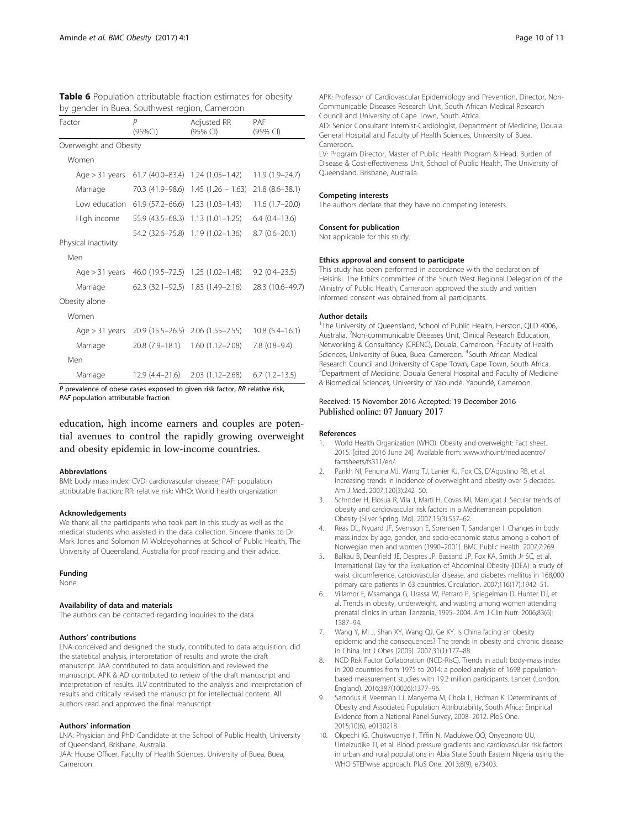| by gender in Buea, Southwest region, Cameroon |                     |                         |                    |  |  |  |  |
|-----------------------------------------------|---------------------|-------------------------|--------------------|--|--|--|--|
| Factor                                        | P<br>(95%CI)        | Adjusted RR<br>(95% CI) | PAF<br>(95% CI)    |  |  |  |  |
| Overweight and Obesity                        |                     |                         |                    |  |  |  |  |
| Women                                         |                     |                         |                    |  |  |  |  |
| Age > 31 years                                | 61.7 (40.0–83.4)    | $1.24(1.05 - 1.42)$     | 11.9 (1.9–24.7)    |  |  |  |  |
| Marriage                                      | 70.3 (41.9–98.6)    | $1.45(1.26 - 1.63)$     | 21.8 (8.6-38.1)    |  |  |  |  |
| Low education                                 | $61.9(57.2 - 66.6)$ | $1.23(1.03 - 1.43)$     | $11.6(1.7-20.0)$   |  |  |  |  |
| High income                                   | 55.9 (43.5 - 68.3)  | $1.13(1.01-1.25)$       | $6.4(0.4 - 13.6)$  |  |  |  |  |
|                                               | 54.2 (32.6–75.8)    | $1.19(1.02 - 1.36)$     | $8.7(0.6 - 20.1)$  |  |  |  |  |
| Physical inactivity                           |                     |                         |                    |  |  |  |  |
| Men                                           |                     |                         |                    |  |  |  |  |
| Age > 31 years                                | 46.0 (19.5 - 72.5)  | $1.25(1.02 - 1.48)$     | $9.2(0.4 - 23.5)$  |  |  |  |  |
| Marriage                                      | $62.3(32.1-92.5)$   | $1.83(1.49 - 2.16)$     | 28.3 (10.6-49.7)   |  |  |  |  |
| Obesity alone                                 |                     |                         |                    |  |  |  |  |
| Women                                         |                     |                         |                    |  |  |  |  |
| Age > 31 years                                | 20.9 (15.5 - 26.5)  | $2.06(1.55 - 2.55)$     | $10.8(5.4 - 16.1)$ |  |  |  |  |
| Marriage                                      | 20.8 (7.9-18.1)     | $1.60(1.12 - 2.08)$     | $7.8(0.8-9.4)$     |  |  |  |  |
| Men                                           |                     |                         |                    |  |  |  |  |
| Marriage                                      | $12.9(4.4 - 21.6)$  | $2.03(1.12 - 2.68)$     | $6.7(1.2 - 13.5)$  |  |  |  |  |

<span id="page-9-0"></span>Table 6 Population attributable fraction estimates for obesity

P prevalence of obese cases exposed to given risk factor, RR relative risk, PAF population attributable fraction

education, high income earners and couples are potential avenues to control the rapidly growing overweight and obesity epidemic in low-income countries.

#### Abbreviations

BMI: body mass index; CVD: cardiovascular disease; PAF: population attributable fraction; RR: relative risk; WHO: World health organization

# Acknowledgements

We thank all the participants who took part in this study as well as the medical students who assisted in the data collection. Sincere thanks to Dr. Mark Jones and Solomon M Woldeyohannes at School of Public Health, The University of Queensland, Australia for proof reading and their advice.

#### Funding

None.

# Availability of data and materials

The authors can be contacted regarding inquiries to the data.

# Authors' contributions

LNA conceived and designed the study, contributed to data acquisition, did the statistical analysis, interpretation of results and wrote the draft manuscript. JAA contributed to data acquisition and reviewed the manuscript. APK & AD contributed to review of the draft manuscript and interpretation of results. JLV contributed to the analysis and interpretation of results and critically revised the manuscript for intellectual content. All authors read and approved the final manuscript.

### Authors' information

LNA: Physician and PhD Candidate at the School of Public Health, University of Queensland, Brisbane, Australia.

JAA: House Officer, Faculty of Health Sciences, University of Buea, Buea, Cameroon.

APK: Professor of Cardiovascular Epidemiology and Prevention, Director, Non-Communicable Diseases Research Unit, South African Medical Research Council and University of Cape Town, South Africa.

AD: Senior Consultant Internist-Cardiologist, Department of Medicine, Douala General Hospital and Faculty of Health Sciences, University of Buea, Cameroon.

LV: Program Director, Master of Public Health Program & Head, Burden of Disease & Cost-effectiveness Unit, School of Public Health, The University of Queensland, Brisbane, Australia.

#### Competing interests

The authors declare that they have no competing interests.

#### Consent for publication

Not applicable for this study.

# Ethics approval and consent to participate

This study has been performed in accordance with the declaration of Helsinki. The Ethics committee of the South West Regional Delegation of the Ministry of Public Health, Cameroon approved the study and written informed consent was obtained from all participants.

#### Author details

<sup>1</sup>The University of Queensland, School of Public Health, Herston, QLD 4006 Australia. <sup>2</sup>Non-communicable Diseases Unit, Clinical Research Education, Networking & Consultancy (CRENC), Douala, Cameroon. <sup>3</sup>Faculty of Health Sciences, University of Buea, Buea, Cameroon. <sup>4</sup>South African Medical Research Council and University of Cape Town, Cape Town, South Africa. 5 Department of Medicine, Douala General Hospital and Faculty of Medicine & Biomedical Sciences, University of Yaoundé, Yaoundé, Cameroon.

# Received: 15 November 2016 Accepted: 19 December 2016 Published online: 07 January 2017

#### References

- 1. World Health Organization (WHO). Obesity and overweight: Fact sheet. 2015. [cited 2016 June 24]. Available from: [www.who.int/mediacentre/](http://www.who.int/mediacentre/factsheets/fs311/en/) [factsheets/fs311/en/](http://www.who.int/mediacentre/factsheets/fs311/en/).
- 2. Parikh NI, Pencina MJ, Wang TJ, Lanier KJ, Fox CS, D'Agostino RB, et al. Increasing trends in incidence of overweight and obesity over 5 decades. Am J Med. 2007;120(3):242–50.
- 3. Schroder H, Elosua R, Vila J, Marti H, Covas MI, Marrugat J. Secular trends of obesity and cardiovascular risk factors in a Mediterranean population. Obesity (Silver Spring, Md). 2007;15(3):557–62.
- 4. Reas DL, Nygard JF, Svensson E, Sorensen T, Sandanger I. Changes in body mass index by age, gender, and socio-economic status among a cohort of Norwegian men and women (1990–2001). BMC Public Health. 2007;7:269.
- 5. Balkau B, Deanfield JE, Despres JP, Bassand JP, Fox KA, Smith Jr SC, et al. International Day for the Evaluation of Abdominal Obesity (IDEA): a study of waist circumference, cardiovascular disease, and diabetes mellitus in 168,000 primary care patients in 63 countries. Circulation. 2007;116(17):1942–51.
- 6. Villamor E, Msamanga G, Urassa W, Petraro P, Spiegelman D, Hunter DJ, et al. Trends in obesity, underweight, and wasting among women attending prenatal clinics in urban Tanzania, 1995–2004. Am J Clin Nutr. 2006;83(6): 1387–94.
- 7. Wang Y, Mi J, Shan XY, Wang QJ, Ge KY. Is China facing an obesity epidemic and the consequences? The trends in obesity and chronic disease in China. Int J Obes (2005). 2007;31(1):177–88.
- 8. NCD Risk Factor Collaboration (NCD-RisC). Trends in adult body-mass index in 200 countries from 1975 to 2014: a pooled analysis of 1698 populationbased measurement studies with 19.2 million participants. Lancet (London, England). 2016;387(10026):1377–96.
- 9. Sartorius B, Veerman LJ, Manyema M, Chola L, Hofman K. Determinants of Obesity and Associated Population Attributability, South Africa: Empirical Evidence from a National Panel Survey, 2008–2012. PloS One. 2015;10(6), e0130218.
- 10. Okpechi IG, Chukwuonye II, Tiffin N, Madukwe OO, Onyeonoro UU, Umeizudike TI, et al. Blood pressure gradients and cardiovascular risk factors in urban and rural populations in Abia State South Eastern Nigeria using the WHO STEPwise approach. PloS One. 2013;8(9), e73403.